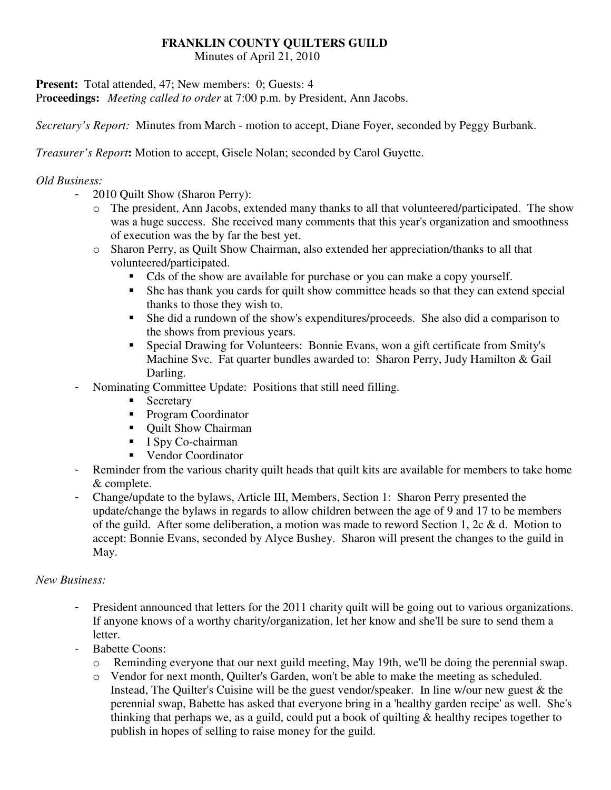### **FRANKLIN COUNTY QUILTERS GUILD**

Minutes of April 21, 2010

**Present:** Total attended, 47; New members: 0; Guests: 4

Pr**oceedings:** *Meeting called to order* at 7:00 p.m. by President, Ann Jacobs.

*Secretary's Report:* Minutes from March - motion to accept, Diane Foyer, seconded by Peggy Burbank.

*Treasurer's Report***:** Motion to accept, Gisele Nolan; seconded by Carol Guyette.

### *Old Business:*

- 2010 Quilt Show (Sharon Perry):
	- o The president, Ann Jacobs, extended many thanks to all that volunteered/participated. The show was a huge success. She received many comments that this year's organization and smoothness of execution was the by far the best yet.
	- o Sharon Perry, as Quilt Show Chairman, also extended her appreciation/thanks to all that volunteered/participated.
		- Cds of the show are available for purchase or you can make a copy yourself.
		- She has thank you cards for quilt show committee heads so that they can extend special thanks to those they wish to.
		- She did a rundown of the show's expenditures/proceeds. She also did a comparison to the shows from previous years.
		- Special Drawing for Volunteers: Bonnie Evans, won a gift certificate from Smity's Machine Svc. Fat quarter bundles awarded to: Sharon Perry, Judy Hamilton & Gail Darling.
- Nominating Committee Update: Positions that still need filling.
	- **Secretary**
	- **Program Coordinator**
	- Quilt Show Chairman
	- $\blacksquare$  I Spy Co-chairman
	- Vendor Coordinator
- Reminder from the various charity quilt heads that quilt kits are available for members to take home & complete.
- Change/update to the bylaws, Article III, Members, Section 1: Sharon Perry presented the update/change the bylaws in regards to allow children between the age of 9 and 17 to be members of the guild. After some deliberation, a motion was made to reword Section 1, 2c & d. Motion to accept: Bonnie Evans, seconded by Alyce Bushey. Sharon will present the changes to the guild in May.

#### *New Business:*

- President announced that letters for the 2011 charity quilt will be going out to various organizations. If anyone knows of a worthy charity/organization, let her know and she'll be sure to send them a letter.
- Babette Coons:
	- o Reminding everyone that our next guild meeting, May 19th, we'll be doing the perennial swap.
	- o Vendor for next month, Quilter's Garden, won't be able to make the meeting as scheduled. Instead, The Quilter's Cuisine will be the guest vendor/speaker. In line w/our new guest & the perennial swap, Babette has asked that everyone bring in a 'healthy garden recipe' as well. She's thinking that perhaps we, as a guild, could put a book of quilting & healthy recipes together to publish in hopes of selling to raise money for the guild.